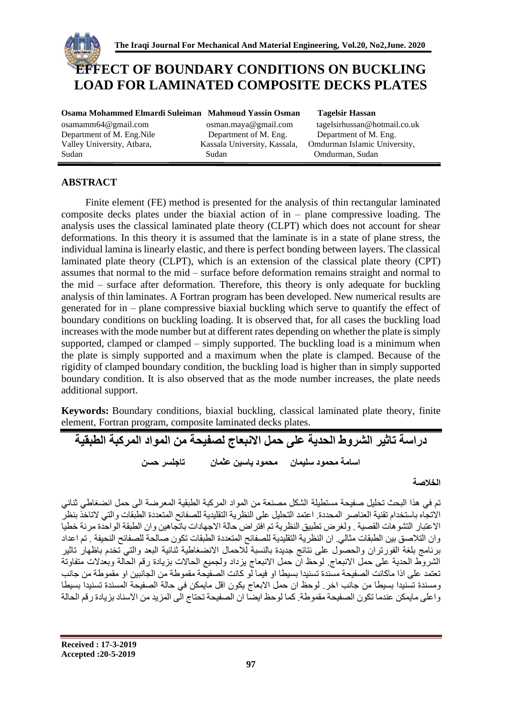

# **EFFECT OF BOUNDARY CONDITIONS ON BUCKLING LOAD FOR LAMINATED COMPOSITE DECKS PLATES**

Department of M. Eng.Nile Department of M. Eng. Department of M. Eng. Valley University, Atbara, Kassala University, Kassala, Omdurman Islamic University, Sudan Sudan Omdurman, Sudan

**Osama Mohammed Elmardi Suleiman Mahmoud Yassin Osman Tagelsir Hassan** 

[osamamm64@gmail.com](mailto:osamamm64@gmail.com) [osman.maya@gmail.com](mailto:osman.maya@gmail.com) [tagelsirhussan@hotmail.co.uk](mailto:tagelsirhussan@hotmail.co.uk) 

# **ABSTRACT**

Finite element (FE) method is presented for the analysis of thin rectangular laminated composite decks plates under the biaxial action of in – plane compressive loading. The analysis uses the classical laminated plate theory (CLPT) which does not account for shear deformations. In this theory it is assumed that the laminate is in a state of plane stress, the individual lamina is linearly elastic, and there is perfect bonding between layers. The classical laminated plate theory (CLPT), which is an extension of the classical plate theory (CPT) assumes that normal to the mid – surface before deformation remains straight and normal to the mid – surface after deformation. Therefore, this theory is only adequate for buckling analysis of thin laminates. A Fortran program has been developed. New numerical results are generated for in – plane compressive biaxial buckling which serve to quantify the effect of boundary conditions on buckling loading. It is observed that, for all cases the buckling load increases with the mode number but at different rates depending on whether the plate is simply supported, clamped or clamped – simply supported. The buckling load is a minimum when the plate is simply supported and a maximum when the plate is clamped. Because of the rigidity of clamped boundary condition, the buckling load is higher than in simply supported boundary condition. It is also observed that as the mode number increases, the plate needs additional support.

**Keywords:** Boundary conditions, biaxial buckling, classical laminated plate theory, finite element, Fortran program, composite laminated decks plates.

**دراسة تاثير الشروط الحدية على حمل االنبعاج لصفيحة من المواد المركبة الطبقية اسامة محمود سليمان محمود ياسين عثمان تاجلسر حسن**

**الخالصة**

تم في هذا البحث تحليل صفيحة مستطيلة الشكل مصنعة من المواد المركبة الطبقية المعرضة الى حمل انضغاطي ثنائي االتجاه باستخدام تقنية العناصر المحددة. اعتمد التحليل على النظرية التقليدية للصفائح المتعددة الطبقات والتي التاخذ بنظر االعتبار التشوهات القصية . ولغرض تطبيق النظرية تم افتراض حالة االجهادات باتجاهين وان الطبقة الواحدة مرنة خطيا وان التالصق بين الطبقات مثالي. ان النظرية التقليدية للصفائح المتعددة الطبقات تكون صالحة للصفائح النحيفة . تم اعداد برنامج بلغة الفورتران والحصول على نتائج جديدة بالنسبة لالحمال االنضغاطية ثنائية البعد والتي تخدم باظهار تاثير الشروط الحدية على حمل االنبعاج. لوحظ ان حمل االنبعاج يزداد ولجميع الحاالت بزيادة رقم الحالة وبعدالت متفاوتة تعتمد على اذا ماكانت الصفيحة مسندة تسنيدا بسيطا او فيما لو كانت الصفيحة مقموطة من الجانبين او مقموطة من جانب ومسندة تسنيدا بسيطا من جانب اخر. لوحظ ان حمل االبعاج يكون اقل مايمكن في حالة الصفيحة المسندة تسنيدا بسيطا واعلى مايمكن عندما تكون الصفيحة مقموطة. كما لوحظ ايضا ان الصفيحة تحتاج الى المزيد من االسناد بزيادة رقم الحالة

**Received : 17-3-2019 Accepted :20-5-2019**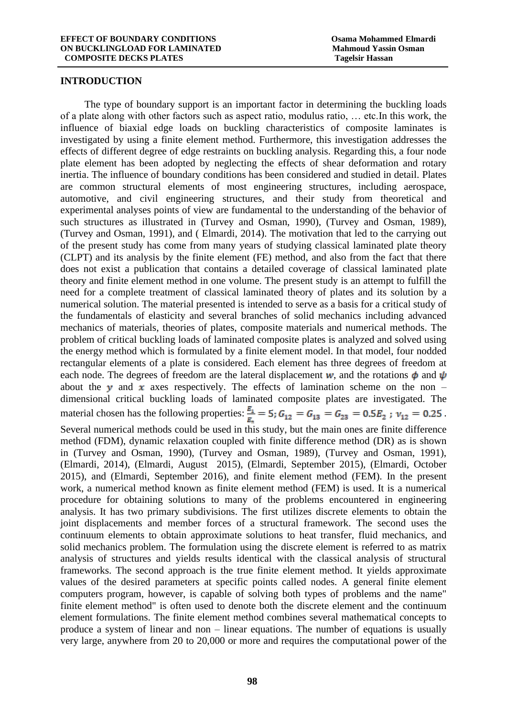#### **INTRODUCTION**

The type of boundary support is an important factor in determining the buckling loads of a plate along with other factors such as aspect ratio, modulus ratio, … etc.In this work, the influence of biaxial edge loads on buckling characteristics of composite laminates is investigated by using a finite element method. Furthermore, this investigation addresses the effects of different degree of edge restraints on buckling analysis. Regarding this, a four node plate element has been adopted by neglecting the effects of shear deformation and rotary inertia. The influence of boundary conditions has been considered and studied in detail. Plates are common structural elements of most engineering structures, including aerospace, automotive, and civil engineering structures, and their study from theoretical and experimental analyses points of view are fundamental to the understanding of the behavior of such structures as illustrated in (Turvey and Osman, 1990), (Turvey and Osman, 1989), (Turvey and Osman, 1991), and ( Elmardi, 2014). The motivation that led to the carrying out of the present study has come from many years of studying classical laminated plate theory (CLPT) and its analysis by the finite element (FE) method, and also from the fact that there does not exist a publication that contains a detailed coverage of classical laminated plate theory and finite element method in one volume. The present study is an attempt to fulfill the need for a complete treatment of classical laminated theory of plates and its solution by a numerical solution. The material presented is intended to serve as a basis for a critical study of the fundamentals of elasticity and several branches of solid mechanics including advanced mechanics of materials, theories of plates, composite materials and numerical methods. The problem of critical buckling loads of laminated composite plates is analyzed and solved using the energy method which is formulated by a finite element model. In that model, four nodded rectangular elements of a plate is considered. Each element has three degrees of freedom at each node. The degrees of freedom are the lateral displacement w, and the rotations  $\phi$  and  $\psi$ about the y and x axes respectively. The effects of lamination scheme on the non – dimensional critical buckling loads of laminated composite plates are investigated. The material chosen has the following properties:  $\frac{E_1}{E_1} = 5$ ;  $G_{12} = G_{13} = G_{23} = 0.5E_2$ ;  $v_{12} = 0.25$ . Several numerical methods could be used in this study, but the main ones are finite difference method (FDM), dynamic relaxation coupled with finite difference method (DR) as is shown in (Turvey and Osman, 1990), (Turvey and Osman, 1989), (Turvey and Osman, 1991), (Elmardi, 2014), (Elmardi, August 2015), (Elmardi, September 2015), (Elmardi, October 2015), and (Elmardi, September 2016), and finite element method (FEM). In the present work, a numerical method known as finite element method (FEM) is used. It is a numerical procedure for obtaining solutions to many of the problems encountered in engineering analysis. It has two primary subdivisions. The first utilizes discrete elements to obtain the joint displacements and member forces of a structural framework. The second uses the continuum elements to obtain approximate solutions to heat transfer, fluid mechanics, and solid mechanics problem. The formulation using the discrete element is referred to as matrix analysis of structures and yields results identical with the classical analysis of structural frameworks. The second approach is the true finite element method. It yields approximate values of the desired parameters at specific points called nodes. A general finite element computers program, however, is capable of solving both types of problems and the name" finite element method" is often used to denote both the discrete element and the continuum element formulations. The finite element method combines several mathematical concepts to produce a system of linear and non – linear equations. The number of equations is usually very large, anywhere from 20 to 20,000 or more and requires the computational power of the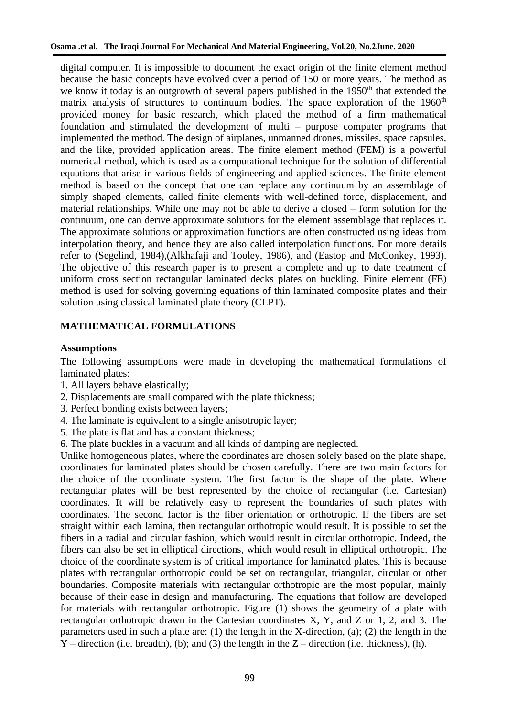digital computer. It is impossible to document the exact origin of the finite element method because the basic concepts have evolved over a period of 150 or more years. The method as we know it today is an outgrowth of several papers published in the  $1950<sup>th</sup>$  that extended the matrix analysis of structures to continuum bodies. The space exploration of the 1960<sup>th</sup> provided money for basic research, which placed the method of a firm mathematical foundation and stimulated the development of multi – purpose computer programs that implemented the method. The design of airplanes, unmanned drones, missiles, space capsules, and the like, provided application areas. The finite element method (FEM) is a powerful numerical method, which is used as a computational technique for the solution of differential equations that arise in various fields of engineering and applied sciences. The finite element method is based on the concept that one can replace any continuum by an assemblage of simply shaped elements, called finite elements with well-defined force, displacement, and material relationships. While one may not be able to derive a closed – form solution for the continuum, one can derive approximate solutions for the element assemblage that replaces it. The approximate solutions or approximation functions are often constructed using ideas from interpolation theory, and hence they are also called interpolation functions. For more details refer to (Segelind, 1984),(Alkhafaji and Tooley, 1986), and (Eastop and McConkey, 1993). The objective of this research paper is to present a complete and up to date treatment of uniform cross section rectangular laminated decks plates on buckling. Finite element (FE) method is used for solving governing equations of thin laminated composite plates and their solution using classical laminated plate theory (CLPT).

# **MATHEMATICAL FORMULATIONS**

## **Assumptions**

The following assumptions were made in developing the mathematical formulations of laminated plates:

- 1. All layers behave elastically;
- 2. Displacements are small compared with the plate thickness;
- 3. Perfect bonding exists between layers;
- 4. The laminate is equivalent to a single anisotropic layer;
- 5. The plate is flat and has a constant thickness;
- 6. The plate buckles in a vacuum and all kinds of damping are neglected.

Unlike homogeneous plates, where the coordinates are chosen solely based on the plate shape, coordinates for laminated plates should be chosen carefully. There are two main factors for the choice of the coordinate system. The first factor is the shape of the plate. Where rectangular plates will be best represented by the choice of rectangular (i.e. Cartesian) coordinates. It will be relatively easy to represent the boundaries of such plates with coordinates. The second factor is the fiber orientation or orthotropic. If the fibers are set straight within each lamina, then rectangular orthotropic would result. It is possible to set the fibers in a radial and circular fashion, which would result in circular orthotropic. Indeed, the fibers can also be set in elliptical directions, which would result in elliptical orthotropic. The choice of the coordinate system is of critical importance for laminated plates. This is because plates with rectangular orthotropic could be set on rectangular, triangular, circular or other boundaries. Composite materials with rectangular orthotropic are the most popular, mainly because of their ease in design and manufacturing. The equations that follow are developed for materials with rectangular orthotropic. Figure (1) shows the geometry of a plate with rectangular orthotropic drawn in the Cartesian coordinates X, Y, and Z or 1, 2, and 3. The parameters used in such a plate are: (1) the length in the X-direction, (a); (2) the length in the  $Y$  – direction (i.e. breadth), (b); and (3) the length in the  $Z$  – direction (i.e. thickness), (h).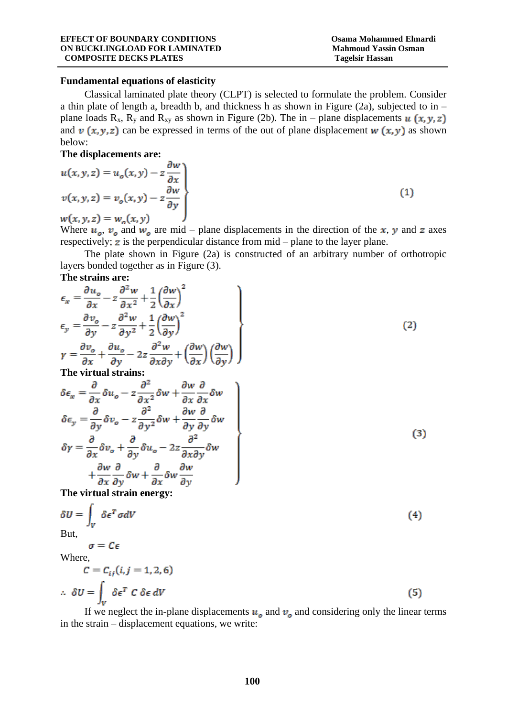$(1)$ 

### **Fundamental equations of elasticity**

Classical laminated plate theory (CLPT) is selected to formulate the problem. Consider a thin plate of length a, breadth b, and thickness h as shown in Figure (2a), subjected to in – plane loads R<sub>x</sub>, R<sub>y</sub> and R<sub>xy</sub> as shown in Figure (2b). The in – plane displacements  $u(x, y, z)$ and  $v(x, y, z)$  can be expressed in terms of the out of plane displacement  $w(x, y)$  as shown below:

## **The displacements are:**

$$
u(x, y, z) = u_o(x, y) - z \frac{\partial w}{\partial x}
$$
  

$$
v(x, y, z) = v_o(x, y) - z \frac{\partial w}{\partial y}
$$
  

$$
w(x, y, z) = w_o(x, y)
$$

Where  $u_a$ ,  $v_a$  and  $w_a$  are mid – plane displacements in the direction of the x, y and z axes respectively;  $\boldsymbol{z}$  is the perpendicular distance from  $mid$  – plane to the layer plane.

The plate shown in Figure (2a) is constructed of an arbitrary number of orthotropic layers bonded together as in Figure (3).

### **The strains are:**

$$
\epsilon_{x} = \frac{\partial u_{o}}{\partial x} - z \frac{\partial^{2} w}{\partial x^{2}} + \frac{1}{2} \left( \frac{\partial w}{\partial x} \right)^{2}
$$
\n
$$
\epsilon_{y} = \frac{\partial v_{o}}{\partial y} - z \frac{\partial^{2} w}{\partial y^{2}} + \frac{1}{2} \left( \frac{\partial w}{\partial y} \right)^{2}
$$
\n
$$
\gamma = \frac{\partial v_{o}}{\partial x} + \frac{\partial u_{o}}{\partial y} - 2z \frac{\partial^{2} w}{\partial x \partial y} + \left( \frac{\partial w}{\partial x} \right) \left( \frac{\partial w}{\partial y} \right)
$$
\nThe virtual strains:\n
$$
\delta \epsilon_{x} = \frac{\partial}{\partial x} \delta u_{o} - z \frac{\partial^{2}}{\partial x^{2}} \delta w + \frac{\partial w}{\partial x} \frac{\partial}{\partial x} \delta w
$$
\n
$$
\delta \epsilon_{y} = \frac{\partial}{\partial y} \delta v_{o} - z \frac{\partial^{2}}{\partial y^{2}} \delta w + \frac{\partial w}{\partial y} \frac{\partial}{\partial y} \delta w
$$
\n
$$
\delta \gamma = \frac{\partial}{\partial x} \delta v_{o} + \frac{\partial}{\partial y} \delta u_{o} - 2z \frac{\partial^{2}}{\partial x \partial y} \delta w
$$
\n
$$
+ \frac{\partial w}{\partial x} \frac{\partial}{\partial y} \delta w + \frac{\partial}{\partial x} \delta w \frac{\partial w}{\partial y}
$$
\n(3)

**The virtual strain energy:**

$$
\delta U = \int_{V} \delta \epsilon^{T} \sigma dV
$$
  
But,  

$$
\sigma = C \epsilon
$$
  
Where,  

$$
C = C_{ij}(i, j = 1, 2, 6)
$$
 (4)

J

$$
\therefore \delta U = \int_{V} \delta \epsilon^{T} C \delta \epsilon dV
$$
 (5)

If we neglect the in-plane displacements  $u<sub>o</sub>$  and  $v<sub>o</sub>$  and considering only the linear terms in the strain – displacement equations, we write: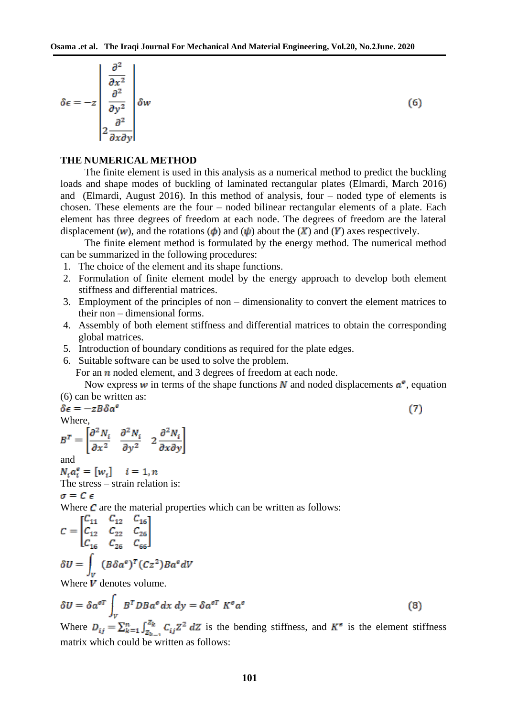$$
\delta \epsilon = -z \left| \begin{array}{c} \frac{\partial^2}{\partial x^2} \\ \frac{\partial^2}{\partial y^2} \\ 2 \frac{\partial^2}{\partial x \partial y} \end{array} \right| \delta w \tag{6}
$$

#### **THE NUMERICAL METHOD**

The finite element is used in this analysis as a numerical method to predict the buckling loads and shape modes of buckling of laminated rectangular plates (Elmardi, March 2016) and (Elmardi, August 2016). In this method of analysis, four – noded type of elements is chosen. These elements are the four – noded bilinear rectangular elements of a plate. Each element has three degrees of freedom at each node. The degrees of freedom are the lateral displacement (w), and the rotations ( $\phi$ ) and ( $\psi$ ) about the (X) and (Y) axes respectively.

The finite element method is formulated by the energy method. The numerical method can be summarized in the following procedures:

- 1. The choice of the element and its shape functions.
- 2. Formulation of finite element model by the energy approach to develop both element stiffness and differential matrices.
- 3. Employment of the principles of non dimensionality to convert the element matrices to their non – dimensional forms.
- 4. Assembly of both element stiffness and differential matrices to obtain the corresponding global matrices.
- 5. Introduction of boundary conditions as required for the plate edges.
- 6. Suitable software can be used to solve the problem.

For an  $n$  noded element, and 3 degrees of freedom at each node.

Now express w in terms of the shape functions N and noded displacements  $a^e$ , equation (6) can be written as:

 $(7)$ 

$$
\delta \epsilon = -zB\delta a^{\epsilon}
$$
  
Where,

$$
B^T = \begin{bmatrix} \frac{\partial^2 N_i}{\partial x^2} & \frac{\partial^2 N_i}{\partial y^2} & 2 \frac{\partial^2 N_i}{\partial x \partial y} \end{bmatrix}
$$

and<br>  $N_i a_i^e = [w_i]$   $i = 1, n$ 

The stress – strain relation is:

 $\sigma = C \epsilon$ 

Where  $C$  are the material properties which can be written as follows:

$$
C = \begin{bmatrix} C_{11} & C_{12} & C_{16} \\ C_{12} & C_{22} & C_{26} \\ C_{16} & C_{26} & C_{66} \end{bmatrix}
$$

$$
\delta U = \int_{V} (B \delta a^{\epsilon})^{T} (Cz^{2}) B a^{\epsilon} dV
$$

Where  $V$  denotes volume.

$$
\delta U = \delta a^{eT} \int_{V} B^{T} D B a^{e} dx dy = \delta a^{eT} K^{e} a^{e}
$$
 (8)

Where  $D_{ij} = \sum_{k=1}^{n} \int_{Z_{k-1}}^{Z_k} C_{ij} Z^2 dZ$  is the bending stiffness, and  $K^e$  is the element stiffness matrix which could be written as follows: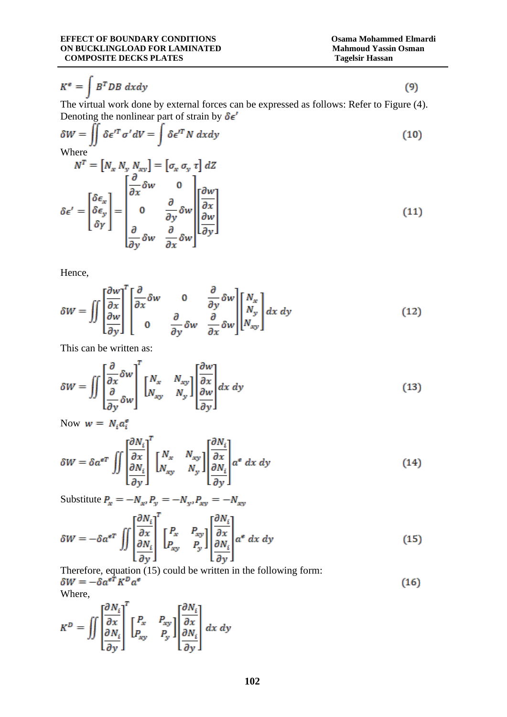$$
K^e = \int B^T D B \; dx dy \tag{9}
$$

The virtual work done by external forces can be expressed as follows: Refer to Figure (4). Denoting the nonlinear part of strain by  $\delta \epsilon'$ 

$$
\delta W = \iint \delta \epsilon^{\prime T} \sigma^{\prime} dV = \int \delta \epsilon^{\prime T} N \, dxdy
$$
\nWhere\n
$$
N^{T} = [N_{x} N_{y} N_{xy}] = [\sigma_{x} \sigma_{y} \tau] dZ
$$
\n
$$
\delta \epsilon^{\prime} = \begin{bmatrix} \delta \epsilon_{x} \\ \delta \epsilon_{y} \\ \delta \gamma \end{bmatrix} = \begin{bmatrix} \frac{\partial}{\partial x} \delta w & 0 \\ 0 & \frac{\partial}{\partial y} \delta w \\ 0 & \frac{\partial}{\partial y} \delta w \end{bmatrix} \begin{bmatrix} \frac{\partial w}{\partial x} \\ \frac{\partial w}{\partial y} \end{bmatrix}
$$
\n(11)

Hence,

$$
\delta W = \iint \left[ \frac{\partial w}{\partial x} \right]^T \left[ \frac{\partial}{\partial x} \delta w \right] \begin{bmatrix} \frac{\partial}{\partial x} \\ \frac{\partial}{\partial y} \end{bmatrix} \begin{bmatrix} \frac{\partial}{\partial x} \\ \frac{\partial}{\partial y} \end{bmatrix} \delta w \right] \begin{bmatrix} N_x \\ N_y \\ N_{xy} \end{bmatrix} dx \, dy \tag{12}
$$

This can be written as:

$$
\delta W = \iint \left[ \frac{\partial}{\partial x} \delta w \right]^T \begin{bmatrix} N_x & N_{xy} \\ N_{xy} & N_y \end{bmatrix} \begin{bmatrix} \frac{\partial w}{\partial x} \\ \frac{\partial w}{\partial y} \end{bmatrix} dx \, dy \tag{13}
$$

Now  $w = N_i a_i^e$ 

$$
\delta W = \delta a^{eT} \iint \left[ \frac{\frac{\partial N_i}{\partial x}}{\frac{\partial N_i}{\partial y}} \right]^T \begin{bmatrix} N_x & N_{xy} \\ N_{xy} & N_y \end{bmatrix} \begin{bmatrix} \frac{\partial N_i}{\partial x} \\ \frac{\partial N_i}{\partial y} \end{bmatrix} a^e dx dy \tag{14}
$$

Substitute  $P_x = -N_{x'}P_y = -N_{y'}P_{xy} = -N_{xy}$ 

$$
\delta W = -\delta a^{\epsilon T} \iint \left[ \frac{\partial N_i}{\partial x} \right]^T \begin{bmatrix} P_x & P_{xy} \\ P_{xy} & P_y \end{bmatrix} \begin{bmatrix} \frac{\partial N_i}{\partial x} \\ \frac{\partial N_i}{\partial y} \end{bmatrix} a^{\epsilon} \, dx \, dy \tag{15}
$$

Therefore, equation (15) could be written in the following form:<br>  $\delta W = -\delta a^{eT} K^D a^e$  $(16)$ Where,

$$
K^{D} = \iint \left[\frac{\frac{\partial N_{i}}{\partial x}}{\frac{\partial N_{i}}{\partial y}}\right]^{T} \begin{bmatrix} P_{x} & P_{xy} \\ P_{xy} & P_{y} \end{bmatrix} \begin{bmatrix} \frac{\partial N_{i}}{\partial x} \\ \frac{\partial N_{i}}{\partial y} \end{bmatrix} dx dy
$$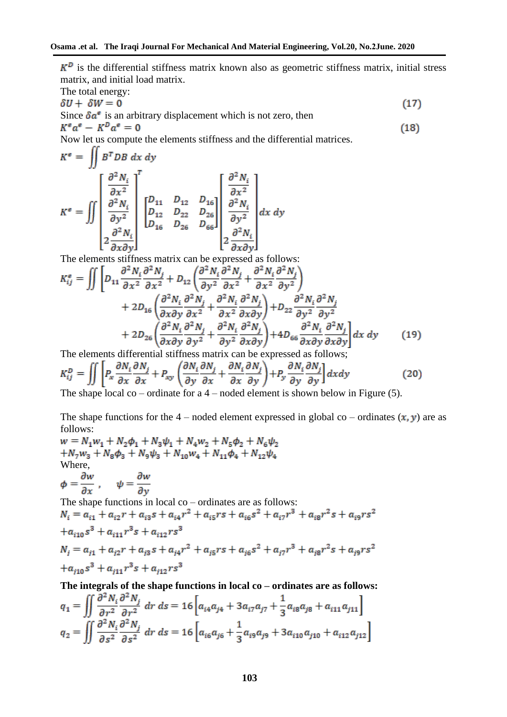$K^D$  is the differential stiffness matrix known also as geometric stiffness matrix, initial stress matrix, and initial load matrix.

The total energy:  
\n
$$
\delta U + \delta W = 0
$$
 (17)  
\nSince  $\delta a^e$  is an arbitrary displacement which is not zero, then  
\n $K^e a^e - K^D a^e = 0$  (18)

Now let us compute the elements stiffness and the differential matrices.

$$
K^e = \iint \frac{\partial^2 N_i}{\partial x^2} \begin{bmatrix} \frac{\partial^2 N_i}{\partial x^2} \\ \frac{\partial^2 N_i}{\partial y^2} \\ \frac{\partial^2 N_i}{\partial x \partial y} \end{bmatrix}^T \begin{bmatrix} D_{11} & D_{12} & D_{16} \\ D_{12} & D_{22} & D_{26} \\ D_{16} & D_{26} & D_{66} \end{bmatrix} \begin{bmatrix} \frac{\partial^2 N_i}{\partial x^2} \\ \frac{\partial^2 N_i}{\partial y^2} \\ \frac{\partial^2 N_i}{\partial x \partial y} \end{bmatrix} dx \, dy
$$

The elements stiffness matrix can be expressed as follows:

$$
K_{ij}^{\epsilon} = \iint \left[ D_{11} \frac{\partial^2 N_i}{\partial x^2} \frac{\partial^2 N_j}{\partial x^2} + D_{12} \left( \frac{\partial^2 N_i}{\partial y^2} \frac{\partial^2 N_j}{\partial x^2} + \frac{\partial^2 N_i}{\partial x^2} \frac{\partial^2 N_j}{\partial y^2} \right) + 2D_{16} \left( \frac{\partial^2 N_i}{\partial x \partial y} \frac{\partial^2 N_j}{\partial x^2} + \frac{\partial^2 N_i}{\partial x^2} \frac{\partial^2 N_j}{\partial x \partial y} \right) + D_{22} \frac{\partial^2 N_i}{\partial y^2} \frac{\partial^2 N_j}{\partial y^2} + 2D_{26} \left( \frac{\partial^2 N_i}{\partial x \partial y} \frac{\partial^2 N_j}{\partial y^2} + \frac{\partial^2 N_i}{\partial y^2} \frac{\partial^2 N_j}{\partial x \partial y} \right) + 4D_{66} \frac{\partial^2 N_i}{\partial x \partial y} \frac{\partial^2 N_j}{\partial x \partial y} \right] dx dy \tag{19}
$$

The elements differential stiffness matrix can be expressed as follows;

$$
K_{ij}^{D} = \iint \left[ P_x \frac{\partial N_i}{\partial x} \frac{\partial N_j}{\partial x} + P_{xy} \left( \frac{\partial N_i}{\partial y} \frac{\partial N_j}{\partial x} + \frac{\partial N_i}{\partial x} \frac{\partial N_j}{\partial y} \right) + P_y \frac{\partial N_i}{\partial y} \frac{\partial N_j}{\partial y} \right] dx dy
$$
(20)

The shape local co – ordinate for a 4 – noded element is shown below in Figure (5).

The shape functions for the 4 – noded element expressed in global co – ordinates  $(x, y)$  are as follows:<br> $w = N_1w_1 + N_2\phi_1 + N_3w_2 + N_4\phi_2 + N_5\phi_3$ 

$$
w = N_1 w_1 + N_2 \varphi_1 + N_3 \varphi_1 + N_4 w_2 + N_5 \varphi_2 + N_6 \varphi_2
$$
  
\n
$$
+ N_7 w_3 + N_8 \varphi_3 + N_9 \varphi_3 + N_{10} w_4 + N_{11} \varphi_4 + N_{12} \varphi_4
$$
  
\nWhere,  
\n
$$
\phi = \frac{\partial w}{\partial x}, \quad \psi = \frac{\partial w}{\partial y}
$$
  
\nThe shape functions in local co-ordinates are as follows:  
\n
$$
N_i = a_{i1} + a_{i2}r + a_{i3}s + a_{i4}r^2 + a_{i5}rs + a_{i6}s^2 + a_{i7}r^3 + a_{i8}r^2s + a_{i9}rs^2
$$
  
\n
$$
+ a_{i10}s^3 + a_{i11}r^3s + a_{i12}rs^3
$$
  
\n
$$
N_j = a_{j1} + a_{j2}r + a_{j3}s + a_{j4}r^2 + a_{j5}rs + a_{j6}s^2 + a_{j7}r^3 + a_{j8}r^2s + a_{j9}rs^2
$$
  
\n
$$
+ a_{j10}s^3 + a_{j11}r^3s + a_{j12}rs^3
$$

**The integrals of the shape functions in local co – ordinates are as follows:**

$$
q_1 = \iint \frac{\partial^2 N_i}{\partial r^2} \frac{\partial^2 N_j}{\partial r^2} dr ds = 16 \left[ a_{i4} a_{j4} + 3 a_{i7} a_{j7} + \frac{1}{3} a_{i8} a_{j8} + a_{i11} a_{j11} \right]
$$
  

$$
q_2 = \iint \frac{\partial^2 N_i}{\partial s^2} \frac{\partial^2 N_j}{\partial s^2} dr ds = 16 \left[ a_{i6} a_{j6} + \frac{1}{3} a_{i9} a_{j9} + 3 a_{i10} a_{j10} + a_{i12} a_{j12} \right]
$$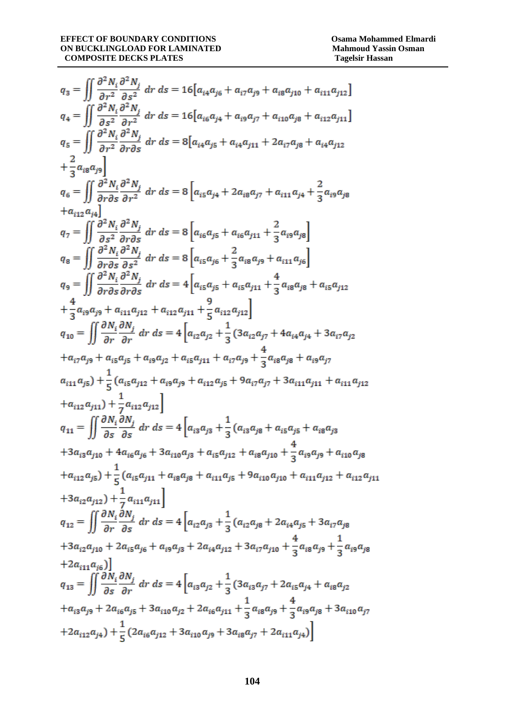$$
q_{3} = \iint \frac{\partial^{2} N_{i}}{\partial r^{2}} \frac{\partial^{2} N_{j}}{\partial s^{2}} dr ds = 16[a_{4}a_{j6} + a_{i7}a_{j9} + a_{i8}a_{j10} + a_{i11}a_{j12}]
$$
\n
$$
q_{4} = \iint \frac{\partial^{2} N_{i}}{\partial s^{2}} \frac{\partial^{2} N_{j}}{\partial r^{2}} dr ds = 16[a_{i6}a_{j4} + a_{i9}a_{j7} + a_{i10}a_{j8} + a_{i12}a_{j11}]
$$
\n
$$
q_{5} = \iint \frac{\partial^{2} N_{i}}{\partial r^{2}} \frac{\partial^{2} N_{j}}{\partial r \partial s} dr ds = 8[a_{i4}a_{j5} + a_{i4}a_{j11} + 2a_{i7}a_{j8} + a_{i4}a_{j12}]
$$
\n
$$
+ \frac{2}{3}a_{i8}a_{j9}]
$$
\n
$$
q_{6} = \iint \frac{\partial^{2} N_{i}}{\partial r \partial s} \frac{\partial^{2} N_{j}}{\partial r^{2}} dr ds = 8[a_{i5}a_{j4} + 2a_{i8}a_{j7} + a_{i11}a_{j4} + \frac{2}{3}a_{i9}a_{j8}]
$$
\n
$$
+ a_{i12}a_{i4}]
$$
\n
$$
q_{7} = \iint \frac{\partial^{2} N_{i}}{\partial s^{2}} \frac{\partial^{2} N_{j}}{\partial r \partial s} dr ds = 8[a_{i5}a_{j5} + a_{i6}a_{j11} + \frac{2}{3}a_{i9}a_{j8}]
$$
\n
$$
q_{8} = \iint \frac{\partial^{2} N_{i}}{\partial r \partial s} \frac{\partial^{2} N_{j}}{\partial r^{2}} dr ds = 8[a_{i6}a_{j5} + a_{i6}a_{j11} + \frac{2}{3}a_{i9}a_{j8}]
$$
\n
$$
q_{9} = \iint \frac{\partial^{2} N_{i}}{\partial r \partial s} \frac{\partial^{2} N_{j}}{\partial r^{2}} dr ds = 4[a_{i5}a_{j5} + a_{i5}a_{j11} + \frac{4}{3}a_{i8}a_{j8} + a
$$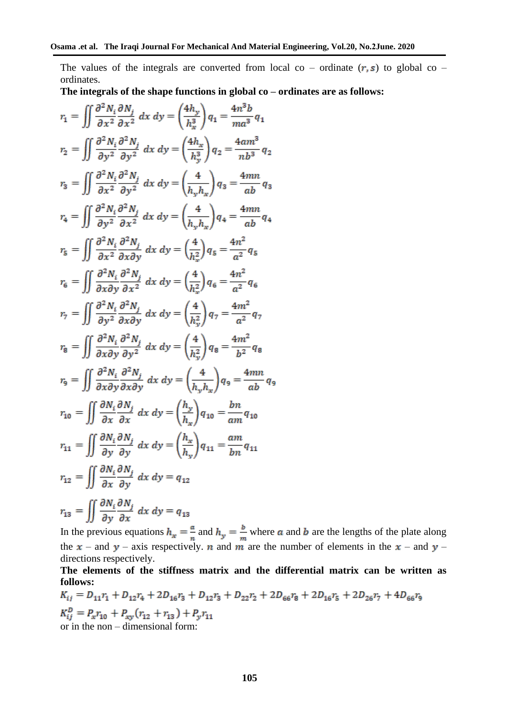The values of the integrals are converted from local co – ordinate  $(r, s)$  to global co – ordinates.

**The integrals of the shape functions in global co – ordinates are as follows:**

$$
r_1 = \iint \frac{\partial^2 N_i}{\partial x^2} \frac{\partial N_j}{\partial x^2} dx dy = \left(\frac{4h_y}{h_x^3}\right) q_1 = \frac{4n^3b}{ma^3} q_1
$$
  
\n
$$
r_2 = \iint \frac{\partial^2 N_i}{\partial y^2} \frac{\partial^2 N_j}{\partial y^2} dx dy = \left(\frac{4h_x}{h_y^3}\right) q_2 = \frac{4am^3}{nb^3} q_2
$$
  
\n
$$
r_3 = \iint \frac{\partial^2 N_i}{\partial x^2} \frac{\partial^2 N_j}{\partial y^2} dx dy = \left(\frac{4}{h_y h_x}\right) q_3 = \frac{4mn}{ab} q_3
$$
  
\n
$$
r_4 = \iint \frac{\partial^2 N_i}{\partial y^2} \frac{\partial^2 N_j}{\partial x^2} dx dy = \left(\frac{4}{h_y h_x}\right) q_4 = \frac{4mn}{ab} q_4
$$
  
\n
$$
r_5 = \iint \frac{\partial^2 N_i}{\partial x^2} \frac{\partial^2 N_j}{\partial x \partial y} dx dy = \left(\frac{4}{h_x^2}\right) q_5 = \frac{4n^2}{a^2} q_5
$$
  
\n
$$
r_6 = \iint \frac{\partial^2 N_i}{\partial x \partial y} \frac{\partial^2 N_j}{\partial x^2} dx dy = \left(\frac{4}{h_x^2}\right) q_6 = \frac{4n^2}{a^2} q_6
$$
  
\n
$$
r_7 = \iint \frac{\partial^2 N_i}{\partial y^2} \frac{\partial^2 N_j}{\partial x \partial y} dx dy = \left(\frac{4}{h_y^2}\right) q_7 = \frac{4m^2}{a^2} q_6
$$
  
\n
$$
r_8 = \iint \frac{\partial^2 N_i}{\partial x \partial y} \frac{\partial^2 N_j}{\partial x \partial y} dx dy = \left(\frac{4}{h_y h_y}\right) q_8 = \frac{4mn^2}{b^2} q_8
$$
  
\n
$$
r_9 = \iint \frac{\partial^2 N_i}{\partial x \partial y} \frac{\partial^2 N_j}{\partial x \partial y} dx dy = \left(\frac{4}{h_y h_x}\right) q_9 = \frac{4mn}{ab} q_9
$$
  
\n

In the previous equations  $h_x = -\frac{a}{a}$  and  $h_y = -\frac{b}{a}$  where  $\alpha$  and  $\beta$  are the lengths of the plate along the  $x$  – and y – axis respectively. **n** and **m** are the number of elements in the  $x$  – and y – directions respectively.

## **The elements of the stiffness matrix and the differential matrix can be written as follows:**

$$
K_{ij} = D_{11}r_1 + D_{12}r_4 + 2D_{16}r_3 + D_{12}r_3 + D_{22}r_2 + 2D_{66}r_8 + 2D_{16}r_5 + 2D_{26}r_7 + 4D_{66}r_9
$$
  
\n
$$
K_{ij}^D = P_xr_{10} + P_{xy}(r_{12} + r_{13}) + P_yr_{11}
$$
  
\nor in the non-dimensional form: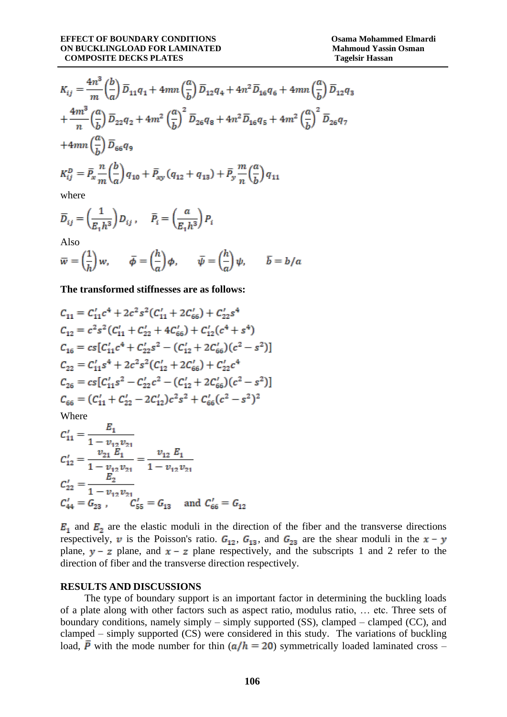$$
K_{ij} = \frac{4n^3}{m} \left(\frac{b}{a}\right) \overline{D}_{11} q_1 + 4mn \left(\frac{a}{b}\right) \overline{D}_{12} q_4 + 4n^2 \overline{D}_{16} q_6 + 4mn \left(\frac{a}{b}\right) \overline{D}_{12} q_3
$$
  
+ 
$$
\frac{4m^3}{n} \left(\frac{a}{b}\right) \overline{D}_{22} q_2 + 4m^2 \left(\frac{a}{b}\right)^2 \overline{D}_{26} q_8 + 4n^2 \overline{D}_{16} q_5 + 4m^2 \left(\frac{a}{b}\right)^2 \overline{D}_{26} q_7
$$
  
+ 
$$
4mn \left(\frac{a}{b}\right) \overline{D}_{66} q_9
$$
  

$$
K_{ij}^D = \overline{P}_x \frac{n}{m} \left(\frac{b}{a}\right) q_{10} + \overline{P}_{xy} (q_{12} + q_{13}) + \overline{P}_y \frac{m}{n} \left(\frac{a}{b}\right) q_{11}
$$

where

$$
\overline{D}_{ij} = \left(\frac{1}{E_1 h^3}\right) D_{ij}, \quad \overline{P}_i = \left(\frac{a}{E_1 h^3}\right) P_i
$$

Also

$$
\overline{w} = \left(\frac{1}{h}\right)w, \qquad \overline{\phi} = \left(\frac{h}{a}\right)\phi, \qquad \overline{\psi} = \left(\frac{h}{a}\right)\psi, \qquad \overline{b} = b/a
$$

**The transformed stiffnesses are as follows:**

$$
C_{11} = C'_{11}c^4 + 2c^2 s^2 (C'_{11} + 2C'_{66}) + C'_{22} s^4
$$
  
\n
$$
C_{12} = c^2 s^2 (C'_{11} + C'_{22} + 4C'_{66}) + C'_{12} (c^4 + s^4)
$$
  
\n
$$
C_{16} = cs [C'_{11}c^4 + C'_{22} s^2 - (C'_{12} + 2C'_{66}) (c^2 - s^2)]
$$
  
\n
$$
C_{22} = C'_{11} s^4 + 2c^2 s^2 (C'_{12} + 2C'_{66}) + C'_{22} c^4
$$
  
\n
$$
C_{26} = cs [C'_{11} s^2 - C'_{22} c^2 - (C'_{12} + 2C'_{66}) (c^2 - s^2)]
$$
  
\n
$$
C_{66} = (C'_{11} + C'_{22} - 2C'_{12}) c^2 s^2 + C'_{66} (c^2 - s^2)^2
$$

Where

$$
C'_{11} = \frac{E_1}{1 - v_{12}v_{21}}
$$
  
\n
$$
C'_{12} = \frac{v_{21}E_1}{1 - v_{12}v_{21}} = \frac{v_{12}E_1}{1 - v_{12}v_{21}}
$$
  
\n
$$
C'_{22} = \frac{E_2}{1 - v_{12}v_{21}}
$$
  
\n
$$
C'_{44} = G_{23}, \qquad C'_{55} = G_{13} \quad \text{and } C'_{66} = G_{12}
$$

 $E_1$  and  $E_2$  are the elastic moduli in the direction of the fiber and the transverse directions respectively, v is the Poisson's ratio.  $G_{12}$ ,  $G_{13}$ , and  $G_{23}$  are the shear moduli in the  $x - y$ plane,  $y - z$  plane, and  $x - z$  plane respectively, and the subscripts 1 and 2 refer to the direction of fiber and the transverse direction respectively.

#### **RESULTS AND DISCUSSIONS**

The type of boundary support is an important factor in determining the buckling loads of a plate along with other factors such as aspect ratio, modulus ratio, … etc. Three sets of boundary conditions, namely simply – simply supported (SS), clamped – clamped (CC), and clamped – simply supported (CS) were considered in this study. The variations of buckling load,  $\bar{P}$  with the mode number for thin ( $a/h = 20$ ) symmetrically loaded laminated cross –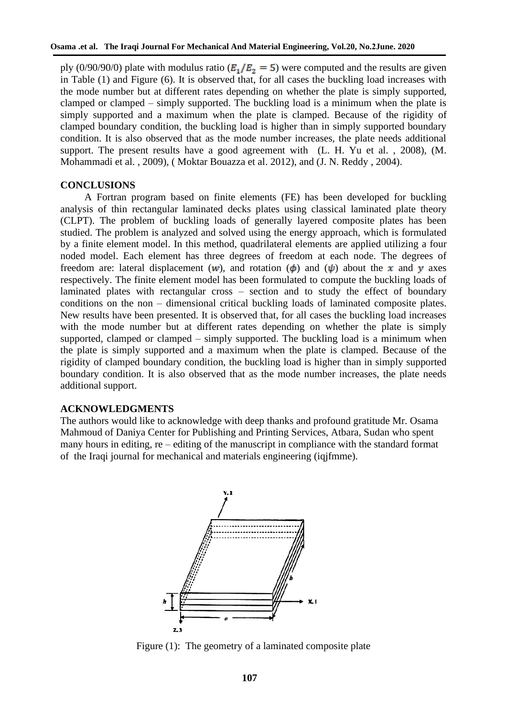ply (0/90/90/0) plate with modulus ratio ( $E_1/E_2 = 5$ ) were computed and the results are given in Table (1) and Figure (6). It is observed that, for all cases the buckling load increases with the mode number but at different rates depending on whether the plate is simply supported, clamped or clamped – simply supported. The buckling load is a minimum when the plate is simply supported and a maximum when the plate is clamped. Because of the rigidity of clamped boundary condition, the buckling load is higher than in simply supported boundary condition. It is also observed that as the mode number increases, the plate needs additional support. The present results have a good agreement with (L. H. Yu et al. , 2008), (M. Mohammadi et al. , 2009), ( Moktar Bouazza et al. 2012), and (J. N. Reddy , 2004).

#### **CONCLUSIONS**

A Fortran program based on finite elements (FE) has been developed for buckling analysis of thin rectangular laminated decks plates using classical laminated plate theory (CLPT). The problem of buckling loads of generally layered composite plates has been studied. The problem is analyzed and solved using the energy approach, which is formulated by a finite element model. In this method, quadrilateral elements are applied utilizing a four noded model. Each element has three degrees of freedom at each node. The degrees of freedom are: lateral displacement (w), and rotation ( $\phi$ ) and ( $\psi$ ) about the x and y axes respectively. The finite element model has been formulated to compute the buckling loads of laminated plates with rectangular cross – section and to study the effect of boundary conditions on the non – dimensional critical buckling loads of laminated composite plates. New results have been presented. It is observed that, for all cases the buckling load increases with the mode number but at different rates depending on whether the plate is simply supported, clamped or clamped – simply supported. The buckling load is a minimum when the plate is simply supported and a maximum when the plate is clamped. Because of the rigidity of clamped boundary condition, the buckling load is higher than in simply supported boundary condition. It is also observed that as the mode number increases, the plate needs additional support.

#### **ACKNOWLEDGMENTS**

The authors would like to acknowledge with deep thanks and profound gratitude Mr. Osama Mahmoud of Daniya Center for Publishing and Printing Services, Atbara, Sudan who spent many hours in editing, re – editing of the manuscript in compliance with the standard format of [the Iraqi journal for mechanical and materials engineering](http://www.iqjfmme.com/index.php/journala) (iqjfmme).



Figure (1): The geometry of a laminated composite plate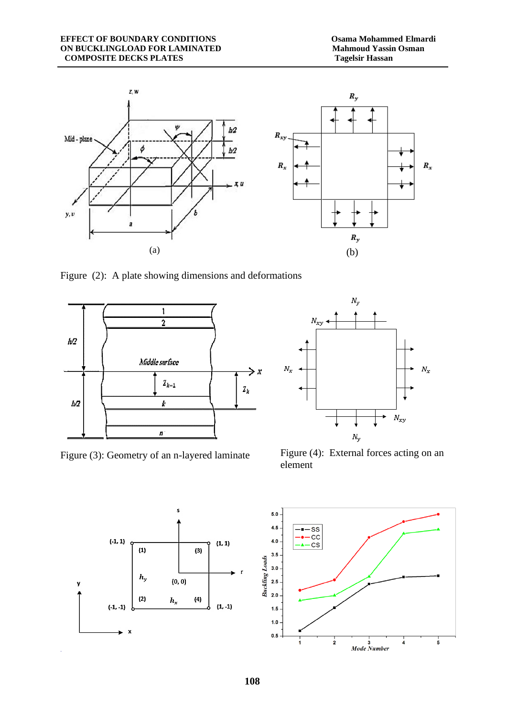

Figure (2): A plate showing dimensions and deformations



Figure (3): Geometry of an n-layered laminate Figure (4): External forces acting on an



element



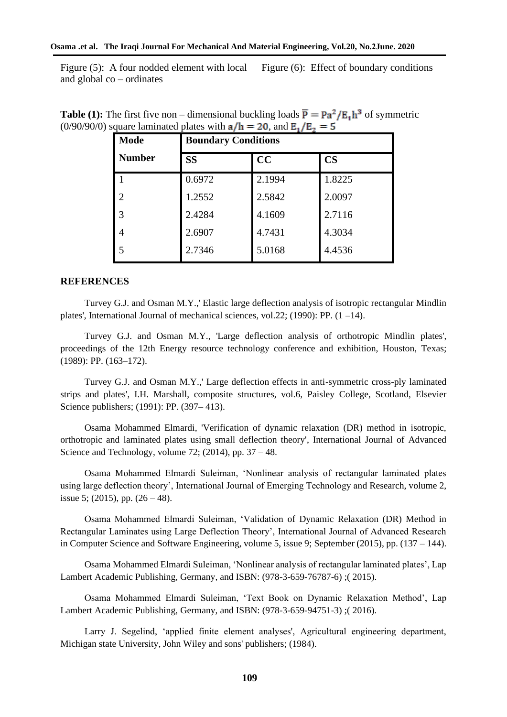Figure (5): A four nodded element with local and global co – ordinates Figure (6): Effect of boundary conditions

| <b>Mode</b>    | $-2,$ and $-1, -2$<br><b>Boundary Conditions</b> |        |                        |
|----------------|--------------------------------------------------|--------|------------------------|
| <b>Number</b>  | <b>SS</b>                                        | CC     | $\overline{\text{CS}}$ |
|                | 0.6972                                           | 2.1994 | 1.8225                 |
| $\overline{2}$ | 1.2552                                           | 2.5842 | 2.0097                 |
| 3              | 2.4284                                           | 4.1609 | 2.7116                 |
| 4              | 2.6907                                           | 4.7431 | 4.3034                 |
| 5              | 2.7346                                           | 5.0168 | 4.4536                 |

**Table (1):** The first five non – dimensional buckling loads  $\overline{P} = Pa^2/E<sub>1</sub>h<sup>3</sup>$  of symmetric  $(0/90/90/0)$  square laminated plates with  $a/h = 20$ , and  $E_1/E_2 = 5$ 

#### **REFERENCES**

Turvey G.J. and Osman M.Y.,' Elastic large deflection analysis of isotropic rectangular Mindlin plates', International Journal of mechanical sciences, vol.22; (1990): PP. (1 –14).

Turvey G.J. and Osman M.Y., 'Large deflection analysis of orthotropic Mindlin plates', proceedings of the 12th Energy resource technology conference and exhibition, Houston, Texas; (1989): PP. (163–172).

Turvey G.J. and Osman M.Y.,' Large deflection effects in anti-symmetric cross-ply laminated strips and plates', I.H. Marshall, composite structures, vol.6, Paisley College, Scotland, Elsevier Science publishers; (1991): PP. (397– 413).

Osama Mohammed Elmardi, 'Verification of dynamic relaxation (DR) method in isotropic, orthotropic and laminated plates using small deflection theory', International Journal of Advanced Science and Technology, volume 72;  $(2014)$ , pp.  $37 - 48$ .

Osama Mohammed Elmardi Suleiman, 'Nonlinear analysis of rectangular laminated plates using large deflection theory', International Journal of Emerging Technology and Research, volume 2, issue 5; (2015), pp.  $(26 – 48)$ .

Osama Mohammed Elmardi Suleiman, 'Validation of Dynamic Relaxation (DR) Method in Rectangular Laminates using Large Deflection Theory', International Journal of Advanced Research in Computer Science and Software Engineering, volume 5, issue 9; September (2015), pp. (137 – 144).

Osama Mohammed Elmardi Suleiman, 'Nonlinear analysis of rectangular laminated plates', Lap Lambert Academic Publishing, Germany, and ISBN: (978-3-659-76787-6) ;( 2015).

Osama Mohammed Elmardi Suleiman, 'Text Book on Dynamic Relaxation Method', Lap Lambert Academic Publishing, Germany, and ISBN: (978-3-659-94751-3) ;( 2016).

Larry J. Segelind, 'applied finite element analyses', Agricultural engineering department, Michigan state University, John Wiley and sons' publishers; (1984).